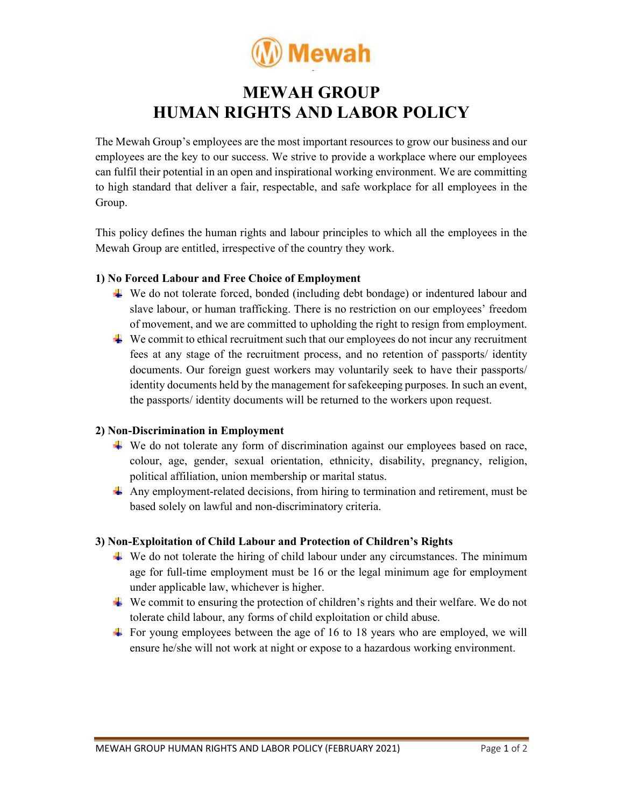

# MEWAH GROUP HUMAN RIGHTS AND LABOR POLICY

The Mewah Group's employees are the most important resources to grow our business and our employees are the key to our success. We strive to provide a workplace where our employees can fulfil their potential in an open and inspirational working environment. We are committing to high standard that deliver a fair, respectable, and safe workplace for all employees in the Group.

This policy defines the human rights and labour principles to which all the employees in the Mewah Group are entitled, irrespective of the country they work.

## 1) No Forced Labour and Free Choice of Employment

- We do not tolerate forced, bonded (including debt bondage) or indentured labour and slave labour, or human trafficking. There is no restriction on our employees' freedom of movement, and we are committed to upholding the right to resign from employment.
- $\ddot{\textbf{v}}$  We commit to ethical recruitment such that our employees do not incur any recruitment fees at any stage of the recruitment process, and no retention of passports/ identity documents. Our foreign guest workers may voluntarily seek to have their passports/ identity documents held by the management for safekeeping purposes. In such an event, the passports/ identity documents will be returned to the workers upon request.

# 2) Non-Discrimination in Employment

- We do not tolerate any form of discrimination against our employees based on race, colour, age, gender, sexual orientation, ethnicity, disability, pregnancy, religion, political affiliation, union membership or marital status.
- $\perp$  Any employment-related decisions, from hiring to termination and retirement, must be based solely on lawful and non-discriminatory criteria.

# 3) Non-Exploitation of Child Labour and Protection of Children's Rights

- $\ddot{\textbf{u}}$  We do not tolerate the hiring of child labour under any circumstances. The minimum age for full-time employment must be 16 or the legal minimum age for employment under applicable law, whichever is higher.
- We commit to ensuring the protection of children's rights and their welfare. We do not tolerate child labour, any forms of child exploitation or child abuse.
- $\overline{\text{F}}$  For young employees between the age of 16 to 18 years who are employed, we will ensure he/she will not work at night or expose to a hazardous working environment.